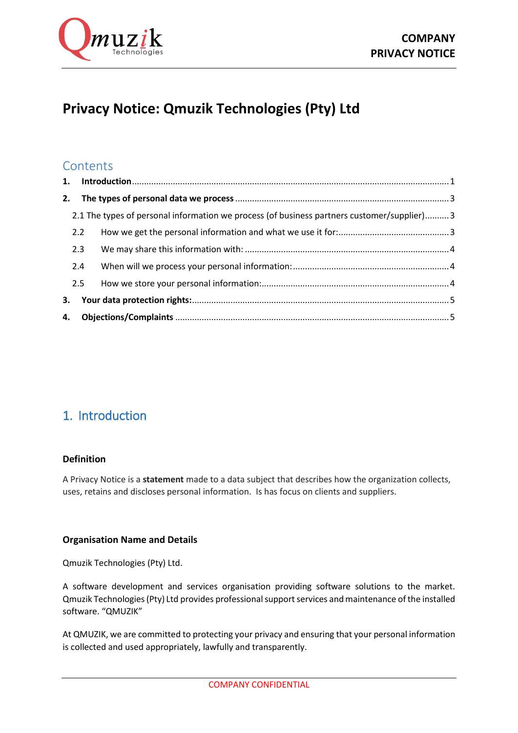

# **Privacy Notice: Qmuzik Technologies (Pty) Ltd**

## **Contents**

| 2. |     |                                                                                             |  |
|----|-----|---------------------------------------------------------------------------------------------|--|
|    |     | 2.1 The types of personal information we process (of business partners customer/supplier) 3 |  |
|    | 2.2 |                                                                                             |  |
|    | 2.3 |                                                                                             |  |
|    | 2.4 |                                                                                             |  |
|    | 2.5 |                                                                                             |  |
| 3. |     |                                                                                             |  |
|    |     |                                                                                             |  |

## <span id="page-0-0"></span>1. Introduction

## **Definition**

A Privacy Notice is a **statement** made to a data subject that describes how the organization collects, uses, retains and discloses personal information. Is has focus on clients and suppliers.

## **Organisation Name and Details**

Qmuzik Technologies (Pty) Ltd.

A software development and services organisation providing software solutions to the market. Qmuzik Technologies (Pty) Ltd provides professional support services and maintenance of the installed software. "QMUZIK"

At QMUZIK, we are committed to protecting your privacy and ensuring that your personal information is collected and used appropriately, lawfully and transparently.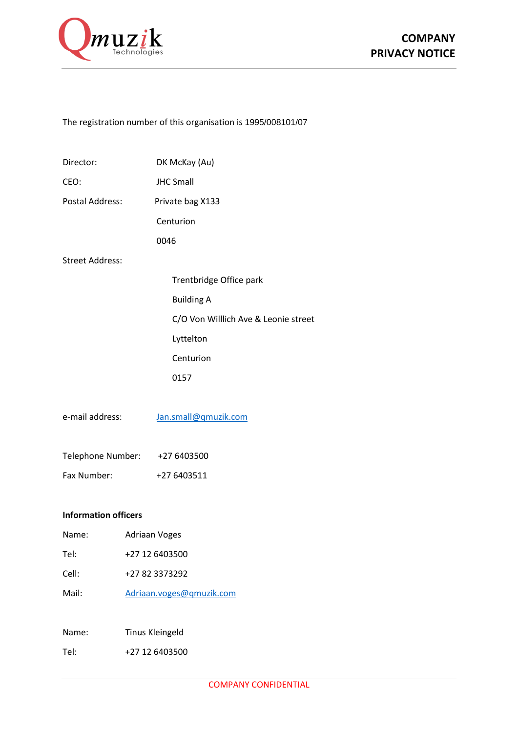

## The registration number of this organisation is 1995/008101/07

| Director:                     |  | DK McKay (Au)                        |  |  |  |
|-------------------------------|--|--------------------------------------|--|--|--|
| CEO:                          |  | <b>JHC Small</b>                     |  |  |  |
| Postal Address:               |  | Private bag X133                     |  |  |  |
|                               |  | Centurion                            |  |  |  |
|                               |  | 0046                                 |  |  |  |
| <b>Street Address:</b>        |  |                                      |  |  |  |
|                               |  | Trentbridge Office park              |  |  |  |
|                               |  | <b>Building A</b>                    |  |  |  |
|                               |  | C/O Von Willlich Ave & Leonie street |  |  |  |
|                               |  | Lyttelton                            |  |  |  |
|                               |  | Centurion                            |  |  |  |
|                               |  | 0157                                 |  |  |  |
|                               |  |                                      |  |  |  |
| e-mail address:               |  | Jan.small@qmuzik.com                 |  |  |  |
|                               |  |                                      |  |  |  |
| Telephone Number: +27 6403500 |  |                                      |  |  |  |
| Fax Number:                   |  | +27 6403511                          |  |  |  |
|                               |  |                                      |  |  |  |
| <b>Information officers</b>   |  |                                      |  |  |  |
| Name:                         |  | Adriaan Voges                        |  |  |  |
| Tel:                          |  | +27 12 6403500                       |  |  |  |
| Cell:                         |  | +27 82 3373292                       |  |  |  |
| Mail:                         |  | Adriaan.voges@qmuzik.com             |  |  |  |

Name: Tinus Kleingeld

Tel: +27 12 6403500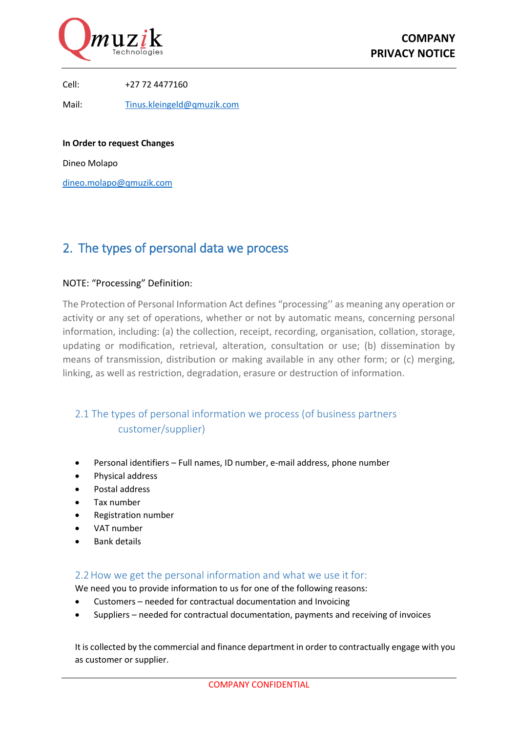

Cell: +27 72 4477160

Mail: [Tinus.kleingeld@qmuzik.com](mailto:Tinus.kleingeld@qmuzik.com)

**In Order to request Changes**

Dineo Molapo

[dineo.molapo@qmuzik.com](mailto:dineo.molapo@qmuzik.com)

## <span id="page-2-0"></span>2. The types of personal data we process

#### NOTE: "Processing" Definition:

The Protection of Personal Information Act defines "processing'' as meaning any operation or activity or any set of operations, whether or not by automatic means, concerning personal information, including: (a) the collection, receipt, recording, organisation, collation, storage, updating or modification, retrieval, alteration, consultation or use; (b) dissemination by means of transmission, distribution or making available in any other form; or (c) merging, linking, as well as restriction, degradation, erasure or destruction of information.

## <span id="page-2-1"></span>2.1 The types of personal information we process (of business partners customer/supplier)

- Personal identifiers Full names, ID number, e-mail address, phone number
- Physical address
- Postal address
- Tax number
- Registration number
- VAT number
- Bank details

## <span id="page-2-2"></span>2.2How we get the personal information and what we use it for:

We need you to provide information to us for one of the following reasons:

- Customers needed for contractual documentation and Invoicing
- Suppliers needed for contractual documentation, payments and receiving of invoices

It is collected by the commercial and finance department in order to contractually engage with you as customer or supplier.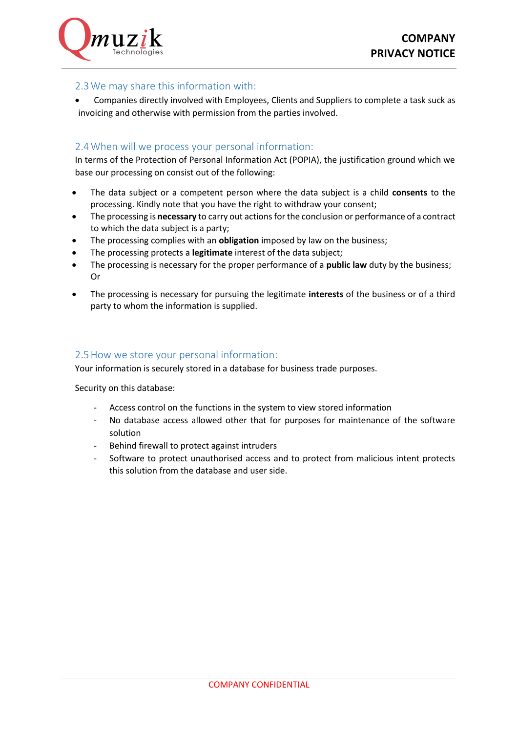

## <span id="page-3-0"></span>2.3We may share this information with:

 Companies directly involved with Employees, Clients and Suppliers to complete a task suck as invoicing and otherwise with permission from the parties involved.

### <span id="page-3-1"></span>2.4When will we process your personal information:

In terms of the Protection of Personal Information Act (POPIA), the justification ground which we base our processing on consist out of the following:

- The data subject or a competent person where the data subject is a child **consents** to the processing. Kindly note that you have the right to withdraw your consent;
- The processing is **necessary** to carry out actions for the conclusion or performance of a contract to which the data subject is a party;
- The processing complies with an **obligation** imposed by law on the business;
- The processing protects a **legitimate** interest of the data subject;
- The processing is necessary for the proper performance of a **public law** duty by the business; Or
- The processing is necessary for pursuing the legitimate **interests** of the business or of a third party to whom the information is supplied.

#### <span id="page-3-2"></span>2.5How we store your personal information:

Your information is securely stored in a database for business trade purposes.

Security on this database:

- Access control on the functions in the system to view stored information
- No database access allowed other that for purposes for maintenance of the software solution
- Behind firewall to protect against intruders
- Software to protect unauthorised access and to protect from malicious intent protects this solution from the database and user side.